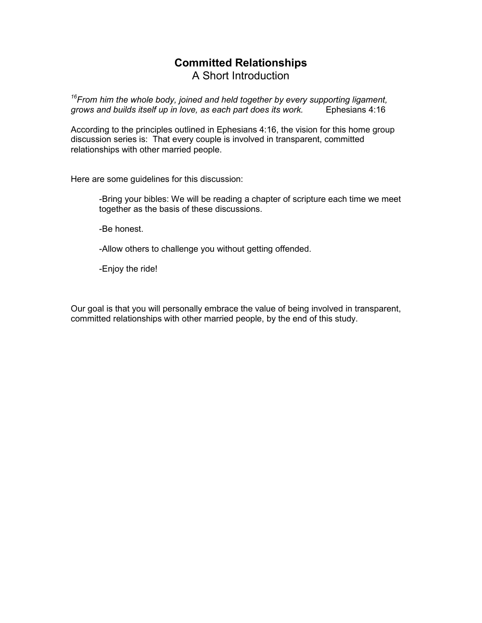## **Committed Relationships**  A Short Introduction

*<sup>16</sup>From him the whole body, joined and held together by every supporting ligament, grows and builds itself up in love, as each part does its work.* Ephesians 4:16

According to the principles outlined in Ephesians 4:16, the vision for this home group discussion series is: That every couple is involved in transparent, committed relationships with other married people.

Here are some guidelines for this discussion:

-Bring your bibles: We will be reading a chapter of scripture each time we meet together as the basis of these discussions.

-Be honest.

-Allow others to challenge you without getting offended.

-Enjoy the ride!

Our goal is that you will personally embrace the value of being involved in transparent, committed relationships with other married people, by the end of this study.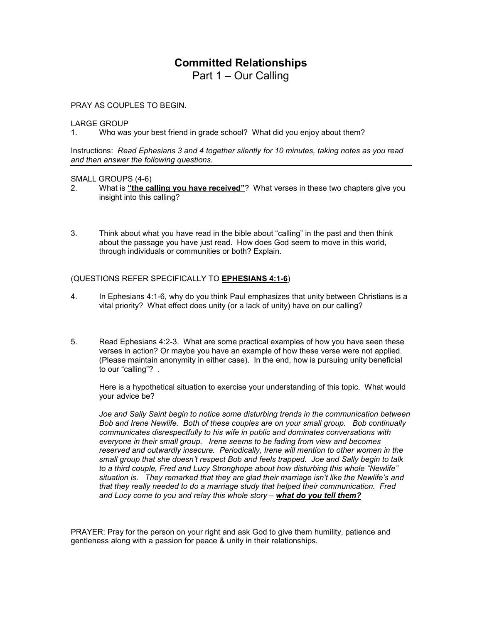Part 1 – Our Calling

PRAY AS COUPLES TO BEGIN.

LARGE GROUP

1. Who was your best friend in grade school? What did you enjoy about them?

Instructions: *Read Ephesians 3 and 4 together silently for 10 minutes, taking notes as you read and then answer the following questions.* 

#### SMALL GROUPS (4-6)

- 2. What is **"the calling you have received"**? What verses in these two chapters give you insight into this calling?
- 3. Think about what you have read in the bible about "calling" in the past and then think about the passage you have just read. How does God seem to move in this world, through individuals or communities or both? Explain.

### (QUESTIONS REFER SPECIFICALLY TO **EPHESIANS 4:1-6**)

- 4. In Ephesians 4:1-6, why do you think Paul emphasizes that unity between Christians is a vital priority? What effect does unity (or a lack of unity) have on our calling?
- 5. Read Ephesians 4:2-3. What are some practical examples of how you have seen these verses in action? Or maybe you have an example of how these verse were not applied. (Please maintain anonymity in either case). In the end, how is pursuing unity beneficial to our "calling"? .

Here is a hypothetical situation to exercise your understanding of this topic. What would your advice be?

*Joe and Sally Saint begin to notice some disturbing trends in the communication between Bob and Irene Newlife. Both of these couples are on your small group. Bob continually communicates disrespectfully to his wife in public and dominates conversations with everyone in their small group. Irene seems to be fading from view and becomes reserved and outwardly insecure. Periodically, Irene will mention to other women in the small group that she doesn't respect Bob and feels trapped. Joe and Sally begin to talk to a third couple, Fred and Lucy Stronghope about how disturbing this whole "Newlife" situation is. They remarked that they are glad their marriage isn't like the Newlife's and that they really needed to do a marriage study that helped their communication. Fred*  and Lucy come to you and relay this whole story - what do you tell them?

PRAYER: Pray for the person on your right and ask God to give them humility, patience and gentleness along with a passion for peace & unity in their relationships.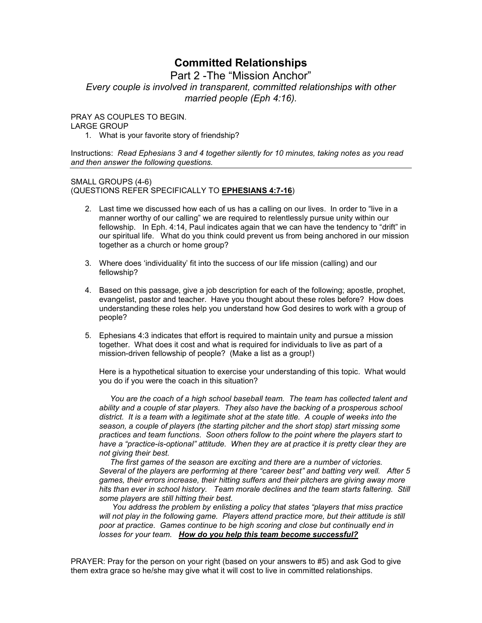Part 2 -The "Mission Anchor" *Every couple is involved in transparent, committed relationships with other married people (Eph 4:16).* 

PRAY AS COUPLES TO BEGIN.

#### LARGE GROUP

1. What is your favorite story of friendship?

Instructions: *Read Ephesians 3 and 4 together silently for 10 minutes, taking notes as you read and then answer the following questions.* 

SMALL GROUPS (4-6) (QUESTIONS REFER SPECIFICALLY TO **EPHESIANS 4:7-16**)

- 2. Last time we discussed how each of us has a calling on our lives. In order to "live in a manner worthy of our calling" we are required to relentlessly pursue unity within our fellowship. In Eph. 4:14, Paul indicates again that we can have the tendency to "drift" in our spiritual life. What do you think could prevent us from being anchored in our mission together as a church or home group?
- 3. Where does 'individuality' fit into the success of our life mission (calling) and our fellowship?
- 4. Based on this passage, give a job description for each of the following; apostle, prophet, evangelist, pastor and teacher. Have you thought about these roles before? How does understanding these roles help you understand how God desires to work with a group of people?
- 5. Ephesians 4:3 indicates that effort is required to maintain unity and pursue a mission together. What does it cost and what is required for individuals to live as part of a mission-driven fellowship of people? (Make a list as a group!)

Here is a hypothetical situation to exercise your understanding of this topic. What would you do if you were the coach in this situation?

 *You are the coach of a high school baseball team. The team has collected talent and ability and a couple of star players. They also have the backing of a prosperous school district. It is a team with a legitimate shot at the state title. A couple of weeks into the season, a couple of players (the starting pitcher and the short stop) start missing some practices and team functions. Soon others follow to the point where the players start to have a "practice-is-optional" attitude. When they are at practice it is pretty clear they are not giving their best.* 

 *The first games of the season are exciting and there are a number of victories. Several of the players are performing at there "career best" and batting very well. After 5 games, their errors increase, their hitting suffers and their pitchers are giving away more hits than ever in school history. Team morale declines and the team starts faltering. Still some players are still hitting their best.* 

 *You address the problem by enlisting a policy that states "players that miss practice*  will not play in the following game. Players attend practice more, but their attitude is still *poor at practice. Games continue to be high scoring and close but continually end in losses for your team. How do you help this team become successful?*

PRAYER: Pray for the person on your right (based on your answers to #5) and ask God to give them extra grace so he/she may give what it will cost to live in committed relationships.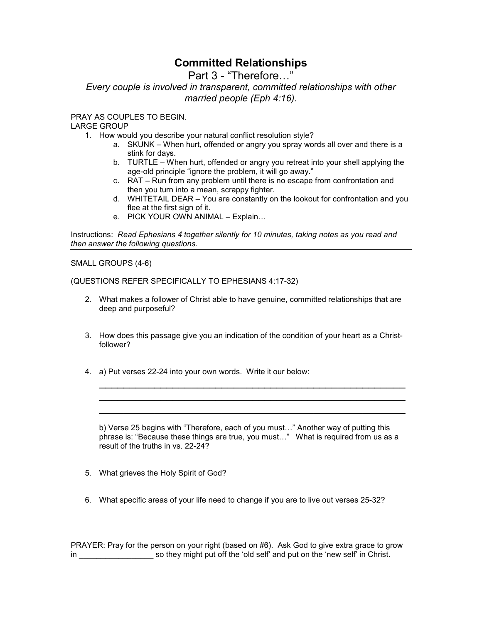Part 3 - "Therefore..."

*Every couple is involved in transparent, committed relationships with other married people (Eph 4:16).* 

PRAY AS COUPLES TO BEGIN.

LARGE GROUP

- 1. How would you describe your natural conflict resolution style?
	- a. SKUNK When hurt, offended or angry you spray words all over and there is a stink for days.
	- b. TURTLE When hurt, offended or angry you retreat into your shell applying the age-old principle "ignore the problem, it will go away."
	- c. RAT Run from any problem until there is no escape from confrontation and then you turn into a mean, scrappy fighter.
	- d. WHITETAIL DEAR You are constantly on the lookout for confrontation and you flee at the first sign of it.
	- e. PICK YOUR OWN ANIMAL Explain...

Instructions: *Read Ephesians 4 together silently for 10 minutes, taking notes as you read and then answer the following questions.* 

SMALL GROUPS (4-6)

(QUESTIONS REFER SPECIFICALLY TO EPHESIANS 4:17-32)

- 2. What makes a follower of Christ able to have genuine, committed relationships that are deep and purposeful?
- 3. How does this passage give you an indication of the condition of your heart as a Christfollower?
- 4. a) Put verses 22-24 into your own words. Write it our below:

b) Verse 25 begins with "Therefore, each of you must..." Another way of putting this phrase is: "Because these things are true, you must..." What is required from us as a result of the truths in vs. 22-24?

\_\_\_\_\_\_\_\_\_\_\_\_\_\_\_\_\_\_\_\_\_\_\_\_\_\_\_\_\_\_\_\_\_\_\_\_\_\_\_\_\_\_\_\_\_\_\_\_\_\_ \_\_\_\_\_\_\_\_\_\_\_\_\_\_\_\_\_\_\_\_\_\_\_\_\_\_\_\_\_\_\_\_\_\_\_\_\_\_\_\_\_\_\_\_\_\_\_\_\_\_ \_\_\_\_\_\_\_\_\_\_\_\_\_\_\_\_\_\_\_\_\_\_\_\_\_\_\_\_\_\_\_\_\_\_\_\_\_\_\_\_\_\_\_\_\_\_\_\_\_\_

- 5. What grieves the Holy Spirit of God?
- 6. What specific areas of your life need to change if you are to live out verses 25-32?

PRAYER: Pray for the person on your right (based on #6). Ask God to give extra grace to grow in so they might put off the 'old self' and put on the 'new self' in Christ.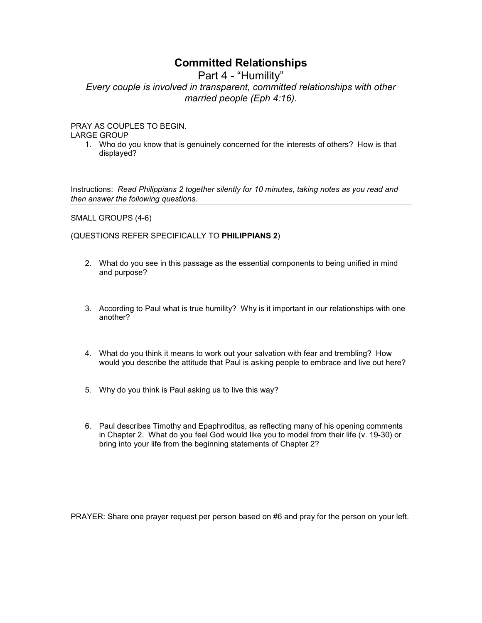Part 4 - "Humility"

*Every couple is involved in transparent, committed relationships with other married people (Eph 4:16).* 

PRAY AS COUPLES TO BEGIN.

LARGE GROUP

1. Who do you know that is genuinely concerned for the interests of others? How is that displayed?

Instructions: *Read Philippians 2 together silently for 10 minutes, taking notes as you read and then answer the following questions.* 

SMALL GROUPS (4-6)

(QUESTIONS REFER SPECIFICALLY TO **PHILIPPIANS 2**)

- 2. What do you see in this passage as the essential components to being unified in mind and purpose?
- 3. According to Paul what is true humility? Why is it important in our relationships with one another?
- 4. What do you think it means to work out your salvation with fear and trembling? How would you describe the attitude that Paul is asking people to embrace and live out here?
- 5. Why do you think is Paul asking us to live this way?
- 6. Paul describes Timothy and Epaphroditus, as reflecting many of his opening comments in Chapter 2. What do you feel God would like you to model from their life (v. 19-30) or bring into your life from the beginning statements of Chapter 2?

PRAYER: Share one prayer request per person based on #6 and pray for the person on your left.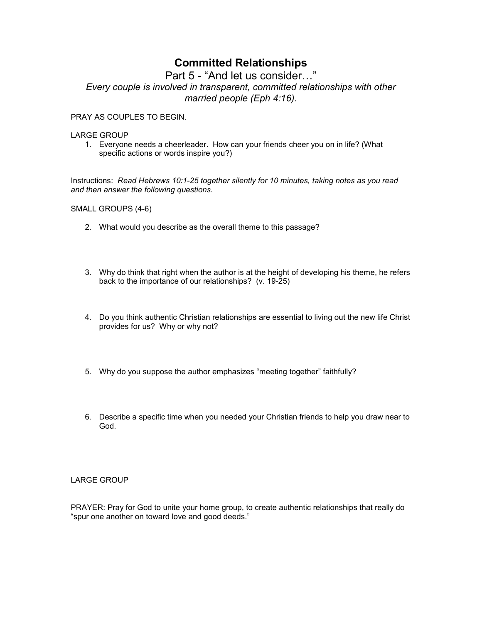Part 5 - "And let us consider..." *Every couple is involved in transparent, committed relationships with other married people (Eph 4:16).* 

PRAY AS COUPLES TO BEGIN.

#### LARGE GROUP

1. Everyone needs a cheerleader. How can your friends cheer you on in life? (What specific actions or words inspire you?)

Instructions: *Read Hebrews 10:1-25 together silently for 10 minutes, taking notes as you read and then answer the following questions.* 

SMALL GROUPS (4-6)

- 2. What would you describe as the overall theme to this passage?
- 3. Why do think that right when the author is at the height of developing his theme, he refers back to the importance of our relationships? (v. 19-25)
- 4. Do you think authentic Christian relationships are essential to living out the new life Christ provides for us? Why or why not?
- 5. Why do you suppose the author emphasizes "meeting together" faithfully?
- 6. Describe a specific time when you needed your Christian friends to help you draw near to God.

### LARGE GROUP

PRAYER: Pray for God to unite your home group, to create authentic relationships that really do "spur one another on toward love and good deeds."